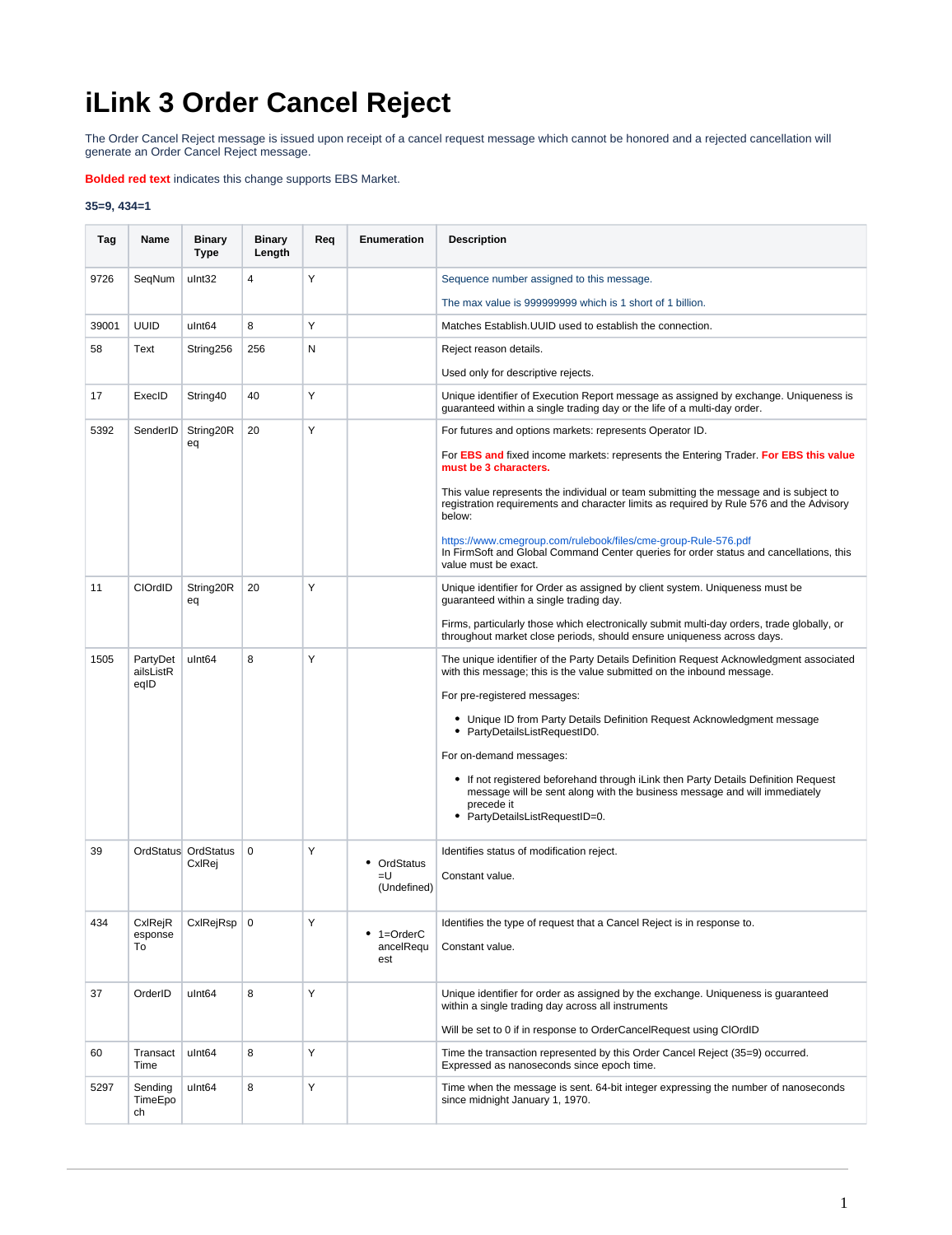## **iLink 3 Order Cancel Reject**

The Order Cancel Reject message is issued upon receipt of a cancel request message which cannot be honored and a rejected cancellation will generate an Order Cancel Reject message.

**Bolded red text** indicates this change supports EBS Market.

## **35=9, 434=1**

| Tag   | Name                          | <b>Binary</b><br>Type         | <b>Binary</b><br>Length | Req | Enumeration       | <b>Description</b>                                                                                                                                                                                              |
|-------|-------------------------------|-------------------------------|-------------------------|-----|-------------------|-----------------------------------------------------------------------------------------------------------------------------------------------------------------------------------------------------------------|
| 9726  | SeqNum                        | ulnt32                        | $\overline{4}$          | Υ   |                   | Sequence number assigned to this message.                                                                                                                                                                       |
|       |                               |                               |                         |     |                   | The max value is 999999999 which is 1 short of 1 billion.                                                                                                                                                       |
| 39001 | <b>UUID</b>                   | ulnt <sub>64</sub>            | 8                       | Υ   |                   | Matches Establish. UUID used to establish the connection.                                                                                                                                                       |
| 58    | Text                          | String256                     | 256                     | N   |                   | Reject reason details.                                                                                                                                                                                          |
|       |                               |                               |                         |     |                   | Used only for descriptive rejects.                                                                                                                                                                              |
| 17    | ExecID                        | String40                      | 40                      | Y   |                   | Unique identifier of Execution Report message as assigned by exchange. Uniqueness is<br>guaranteed within a single trading day or the life of a multi-day order.                                                |
| 5392  | SenderID                      | String20R<br>eq               | 20                      | Y   |                   | For futures and options markets: represents Operator ID.                                                                                                                                                        |
|       |                               |                               |                         |     |                   | For EBS and fixed income markets: represents the Entering Trader. For EBS this value<br>must be 3 characters.                                                                                                   |
|       |                               |                               |                         |     |                   | This value represents the individual or team submitting the message and is subject to<br>registration requirements and character limits as required by Rule 576 and the Advisory<br>below:                      |
|       |                               |                               |                         |     |                   | https://www.cmegroup.com/rulebook/files/cme-group-Rule-576.pdf<br>In FirmSoft and Global Command Center queries for order status and cancellations, this<br>value must be exact.                                |
| 11    | CIOrdID                       | String20R<br>eq               | 20                      | Y   |                   | Unique identifier for Order as assigned by client system. Uniqueness must be<br>guaranteed within a single trading day.                                                                                         |
|       |                               |                               |                         |     |                   | Firms, particularly those which electronically submit multi-day orders, trade globally, or<br>throughout market close periods, should ensure uniqueness across days.                                            |
| 1505  | PartyDet<br>ailsListR<br>eqID | ulnt <sub>64</sub>            | 8                       | Y   |                   | The unique identifier of the Party Details Definition Request Acknowledgment associated<br>with this message; this is the value submitted on the inbound message.                                               |
|       |                               |                               |                         |     |                   | For pre-registered messages:                                                                                                                                                                                    |
|       |                               |                               |                         |     |                   | • Unique ID from Party Details Definition Request Acknowledgment message<br>PartyDetailsListRequestID0.                                                                                                         |
|       |                               |                               |                         |     |                   | For on-demand messages:                                                                                                                                                                                         |
|       |                               |                               |                         |     |                   | • If not registered beforehand through iLink then Party Details Definition Request<br>message will be sent along with the business message and will immediately<br>precede it<br>• PartyDetailsListRequestID=0. |
|       |                               |                               |                         |     |                   |                                                                                                                                                                                                                 |
| 39    |                               | OrdStatus OrdStatus<br>CxIRej | $\mathbf 0$             | Υ   | • OrdStatus       | Identifies status of modification reject.                                                                                                                                                                       |
|       |                               |                               |                         |     | =U<br>(Undefined) | Constant value.                                                                                                                                                                                                 |
| 434   | CxIRejR<br>esponse            | CxlRejRsp                     | $\mathbf 0$             | Y   | $• 1 = OrderC$    | Identifies the type of request that a Cancel Reject is in response to.                                                                                                                                          |
|       | To                            |                               |                         |     | ancelRequ<br>est  | Constant value.                                                                                                                                                                                                 |
| 37    | OrderID                       | ulnt <sub>64</sub>            | 8                       | Y   |                   | Unique identifier for order as assigned by the exchange. Uniqueness is guaranteed<br>within a single trading day across all instruments                                                                         |
|       |                               |                               |                         |     |                   | Will be set to 0 if in response to OrderCancelRequest using ClOrdID                                                                                                                                             |
| 60    | Transact<br>Time              | ulnt <sub>64</sub>            | 8                       | Υ   |                   | Time the transaction represented by this Order Cancel Reject (35=9) occurred.<br>Expressed as nanoseconds since epoch time.                                                                                     |
| 5297  | Sending<br>TimeEpo<br>ch      | ulnt <sub>64</sub>            | 8                       | Υ   |                   | Time when the message is sent. 64-bit integer expressing the number of nanoseconds<br>since midnight January 1, 1970.                                                                                           |